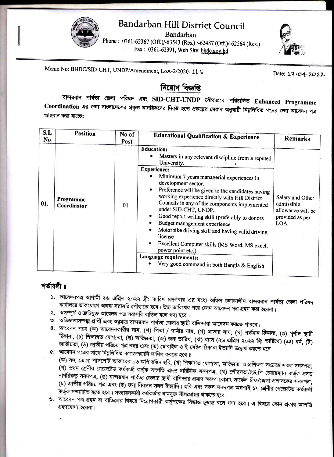

Bandarban.

Phone: 0361-62367 (Off.)/-63543 (Res.) /-62487 (Off.)/-62564 (Res.) Fax: 0361-62391, Web Site: bhdc.gov.bd



Memo No: BHDC/SID-CHT, UNDP/Amendment, LoA-2/2020-115

Date: 17.04.2022

## নিয়োগ বিজ্ঞপ্তি

বান্দরবান পার্বত্য জেলা পরিষদ এবং SID-CHT-UNDP যৌথভাবে পরিচালিত Enhanced Programme Coordination এর জন্য বাংলাদেশের প্রকৃত নাগরিকদের নিকট হতে প্রকল্পের মেয়াদ অনুযায়ী নিয়লিখিত পদের জন্য আবেদন পত্র আহ্বান করা যাচ্ছে:

| S.L<br>N <sub>o</sub> | <b>Position</b>          | No of<br>Post | <b>Educational Qualification &amp; Experience</b>                                                                                                                                                                                                                                                                                                                                                                                                                                                                                                                                                                                                                                              | Remarks                                                                              |
|-----------------------|--------------------------|---------------|------------------------------------------------------------------------------------------------------------------------------------------------------------------------------------------------------------------------------------------------------------------------------------------------------------------------------------------------------------------------------------------------------------------------------------------------------------------------------------------------------------------------------------------------------------------------------------------------------------------------------------------------------------------------------------------------|--------------------------------------------------------------------------------------|
| 01.                   | Programme<br>Coordinator | 01            | <b>Education:</b><br>Masters in any relevant discipline from a reputed<br>University.<br><b>Experience:</b><br>Minimum 7 years managerial experiences in<br>development sector.<br>Preference will be given to the candidates having<br>$\bullet$<br>working experience directly with Hill District<br>Councils in any of the components implemented<br>under SID-CHT, UNDP.<br>Good report writing skill (preferably to donors<br>Budget management experience<br>Motorbike driving skill and having valid driving<br>$\bullet$<br>license<br>٠<br>Excellent Computer skills (MS Word, MS excel,<br>power point etc.)<br>Language requirements:<br>Very good command in both Bangla & English | Salary and Other<br>admissible<br>allowance will be<br>provided as per<br><b>LOA</b> |

## শর্তাবলী ৪

- ১. আবেদনপত্র আগামী ২৬ এপ্রিল ২০২২ খ্রী: তারিখ মঙ্গলবার এর মধ্যে অফিস চলাকালীন বান্দরবান পার্বত্য জেলা পরিষদ কার্যালয়ে ডাকযোগে অথবা সরাসরি পৌছাতে হবে। উক্ত তারিখের পরে কোন আবেদন পত্র গ্রহন করা হবেনা।
- ২. অসম্পূর্ণ ও ক্রটিযুক্ত আবেদন পত্র সরাসরি বাতিল বলে গণ্য হবে।
- ৩. অভিজ্ঞতাসম্পন্ন প্রার্থী এবং শুধুমাত্র বান্দরবান পার্বত্য জেলার স্থায়ী বাসিন্দারা আবেদন করতে পারবে।
- 8. আবেদন পত্রে (ক) আবেদনকারীর নাম, (খ) পিতা / স্বামীর নাম, (গ) মাতার নাম, (ঘ) বর্তমান ঠিকানা, (ঙ) পূর্ণাঙ্গ স্থায়ী ঠিকানা, (চ) শিক্ষাগত যোগ্যতা, (ছ) অভিজ্ঞতা, (জ) জন্ম তারিখ, (ঝ) বয়স (২৬ এপ্রিল ২০২২ খ্রি: তারিখে) (এঃ) ধর্ম, (ট) জাতীয়তা, (ঠ) জাতীয় পরিচয় পত্র নম্বর এবং (ড) মোবাইল ও ই-মেইল ঠিকানা ইত্যাদি উল্লেখ করতে হবে।
- ৫. আবেদন পত্রের সাথে নিম্নলিখিত কাগজপত্রাদি দাখিল করতে হবে ঃ

(ক) সদ্য তোলা পাসপোর্ট আকারের ০৩ কপি রঙিন ছবি, (খ) শিক্ষাগত যোগ্যতা, অভিজ্ঞতা ও প্রশিক্ষণ সংক্রান্ত সকল সনদপত্র, (গ) প্রথম শ্রেনীর গেজেটেড কর্মকর্তা কর্তৃক সম্প্রতি প্রদত্ত চারিত্রিক সনদপত্র, (ঘ) পৌরসভা/ইউ.পি চেয়ারম্যান কর্তৃক প্রদত্ত নাগরিকত্ব সনদপত্র, (ঙ) বান্দরবান পার্বত্য জেলার স্থাযী বাসিন্দার প্রমাণ স্বরুপ বোমাং সার্কেল চীফ/জেলা প্রশাসকের সনদপত্র, (চ) জাতীয় পরিচয় পত্র এবং (ছ) জন্ম নিবন্ধন সনদ ইত্যাদি। ছবি এবং সকল সনদপত্র অবশ্যই ১ম শ্রেনীর গেজেটেড কর্মকর্তা কর্তৃক সত্যায়িত হতে হবে। সত্যায়নকারী কর্মকর্তার নামযুক্ত সীলমোহর থাকতে হবে।

৬. আবেদন পত্র গ্রহন বা বাতিলের বিষয়ে নিয়োগকারী কর্তৃপক্ষের সিদ্ধান্ত চূড়ান্ত বলে গণ্য হবে। এ বিষয়ে কোন প্রকার আপত্তি গ্রহণযোগ্য হবেনা।